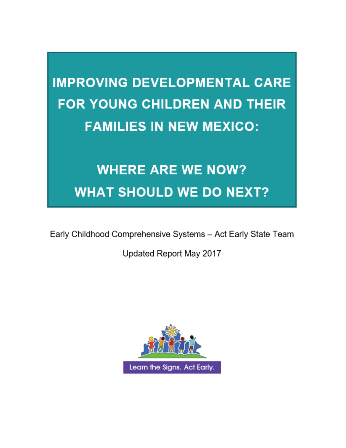# **IMPROVING DEVELOPMENTAL CARE FOR YOUNG CHILDREN AND THEIR FAMILIES IN NEW MEXICO:**

# **WHERE ARE WE NOW? WHAT SHOULD WE DO NEXT?**

Early Childhood Comprehensive Systems - Act Early State Team

Updated Report May 2017

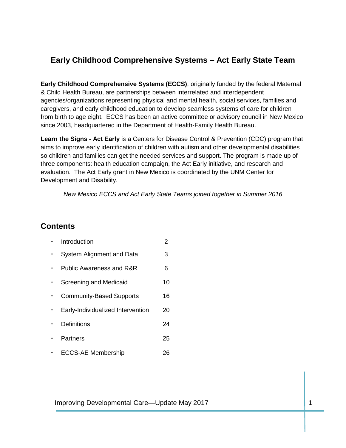### **Early Childhood Comprehensive Systems – Act Early State Team**

**Early Childhood Comprehensive Systems (ECCS)**, originally funded by the federal Maternal & Child Health Bureau, are partnerships between interrelated and interdependent agencies/organizations representing physical and mental health, social services, families and caregivers, and early childhood education to develop seamless systems of care for children from birth to age eight. ECCS has been an active committee or advisory council in New Mexico since 2003, headquartered in the Department of Health-Family Health Bureau.

**Learn the Signs - Act Early** is a Centers for Disease Control & Prevention (CDC) program that aims to improve early identification of children with autism and other developmental disabilities so children and families can get the needed services and support. The program is made up of three components: health education campaign, the Act Early initiative, and research and evaluation. The Act Early grant in New Mexico is coordinated by the UNM Center for Development and Disability.

*New Mexico ECCS and Act Early State Teams joined together in Summer 2016*

### **Contents**

| Introduction                      | 2  |
|-----------------------------------|----|
| System Alignment and Data         | 3  |
| Public Awareness and R&R          | 6  |
| Screening and Medicaid            | 10 |
| <b>Community-Based Supports</b>   | 16 |
| Early-Individualized Intervention | 20 |
| Definitions                       | 24 |
| Partners                          | 25 |
| <b>ECCS-AE Membership</b>         | 26 |

Improving Developmental Care—Update May 2017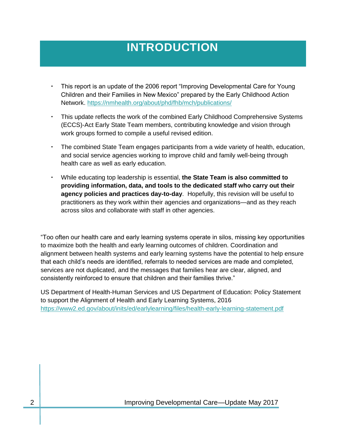## **INTRODUCTION**

- This report is an update of the 2006 report "Improving Developmental Care for Young Children and their Families in New Mexico" prepared by the Early Childhood Action Network.<https://nmhealth.org/about/phd/fhb/mch/publications/>
- This update reflects the work of the combined Early Childhood Comprehensive Systems (ECCS)-Act Early State Team members, contributing knowledge and vision through work groups formed to compile a useful revised edition.
- The combined State Team engages participants from a wide variety of health, education, and social service agencies working to improve child and family well-being through health care as well as early education.
- While educating top leadership is essential, **the State Team is also committed to providing information, data, and tools to the dedicated staff who carry out their agency policies and practices day-to-day**. Hopefully, this revision will be useful to practitioners as they work within their agencies and organizations—and as they reach across silos and collaborate with staff in other agencies.

"Too often our health care and early learning systems operate in silos, missing key opportunities to maximize both the health and early learning outcomes of children. Coordination and alignment between health systems and early learning systems have the potential to help ensure that each child's needs are identified, referrals to needed services are made and completed, services are not duplicated, and the messages that families hear are clear, aligned, and consistently reinforced to ensure that children and their families thrive."

US Department of Health-Human Services and US Department of Education: Policy Statement to support the Alignment of Health and Early Learning Systems, 2016 <https://www2.ed.gov/about/inits/ed/earlylearning/files/health-early-learning-statement.pdf>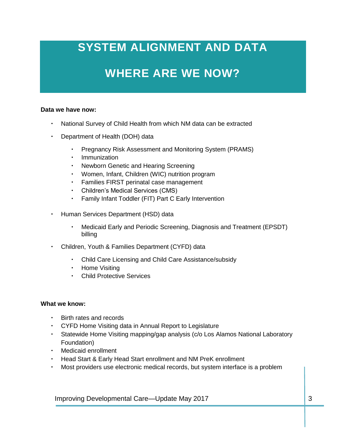# **SYSTEM ALIGNMENT AND DATA**

## **WHERE ARE WE NOW?**

#### **Data we have now:**

- National Survey of Child Health from which NM data can be extracted
- Department of Health (DOH) data
	- Pregnancy Risk Assessment and Monitoring System (PRAMS)
	- Immunization
	- Newborn Genetic and Hearing Screening
	- Women, Infant, Children (WIC) nutrition program
	- Families FIRST perinatal case management
	- Children's Medical Services (CMS)
	- Family Infant Toddler (FIT) Part C Early Intervention
- Human Services Department (HSD) data
	- Medicaid Early and Periodic Screening, Diagnosis and Treatment (EPSDT) billing
- Children, Youth & Families Department (CYFD) data
	- Child Care Licensing and Child Care Assistance/subsidy
	- Home Visiting
	- Child Protective Services

#### **What we know:**

- **•** Birth rates and records
- CYFD Home Visiting data in Annual Report to Legislature
- Statewide Home Visiting mapping/gap analysis (c/o Los Alamos National Laboratory Foundation)
- Medicaid enrollment
- Head Start & Early Head Start enrollment and NM PreK enrollment
- Most providers use electronic medical records, but system interface is a problem

Improving Developmental Care—Update May 2017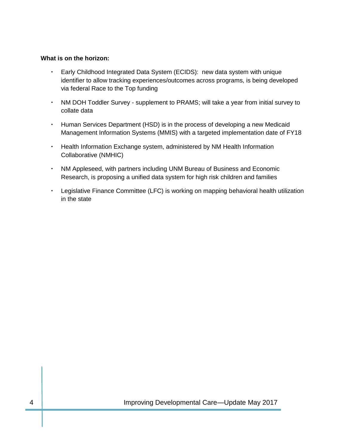#### **What is on the horizon:**

- Early Childhood Integrated Data System (ECIDS): new data system with unique identifier to allow tracking experiences/outcomes across programs, is being developed via federal Race to the Top funding
- NM DOH Toddler Survey supplement to PRAMS; will take a year from initial survey to collate data
- Human Services Department (HSD) is in the process of developing a new Medicaid Management Information Systems (MMIS) with a targeted implementation date of FY18
- Health Information Exchange system, administered by NM Health Information Collaborative (NMHIC)
- NM Appleseed, with partners including UNM Bureau of Business and Economic Research, is proposing a unified data system for high risk children and families
- Legislative Finance Committee (LFC) is working on mapping behavioral health utilization in the state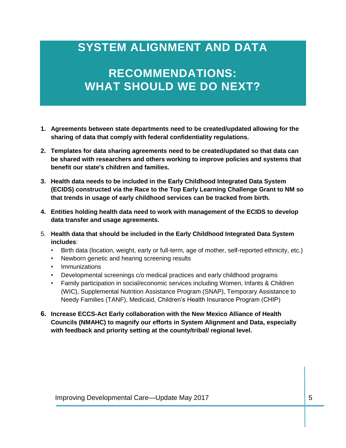### **SYSTEM ALIGNMENT AND DATA**

## **RECOMMENDATIONS: WHAT SHOULD WE DO NEXT?**

- **1. Agreements between state departments need to be created/updated allowing for the sharing of data that comply with federal confidentiality regulations.**
- **2. Templates for data sharing agreements need to be created/updated so that data can be shared with researchers and others working to improve policies and systems that benefit our state's children and families.**
- **3. Health data needs to be included in the Early Childhood Integrated Data System (ECIDS) constructed via the Race to the Top Early Learning Challenge Grant to NM so that trends in usage of early childhood services can be tracked from birth.**
- **4. Entities holding health data need to work with management of the ECIDS to develop data transfer and usage agreements.**
- 5. **Health data that should be included in the Early Childhood Integrated Data System includes**:
	- Birth data (location, weight, early or full-term, age of mother, self-reported ethnicity, etc.)
	- Newborn genetic and hearing screening results
	- Immunizations
	- Developmental screenings c/o medical practices and early childhood programs
	- Family participation in social/economic services including Women, Infants & Children (WIC), Supplemental Nutrition Assistance Program (SNAP), Temporary Assistance to Needy Families (TANF), Medicaid, Children's Health Insurance Program (CHIP)
- **6. Increase ECCS-Act Early collaboration with the New Mexico Alliance of Health Councils (NMAHC) to magnify our efforts in System Alignment and Data, especially with feedback and priority setting at the county/tribal/ regional level.**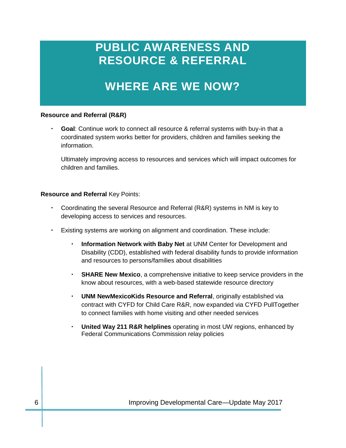### **PUBLIC AWARENESS AND RESOURCE & REFERRAL**

### **WHERE ARE WE NOW?**

#### **Resource and Referral (R&R)**

 **Goal**: Continue work to connect all resource & referral systems with buy-in that a coordinated system works better for providers, children and families seeking the information.

Ultimately improving access to resources and services which will impact outcomes for children and families.

#### **Resource and Referral** Key Points:

- Coordinating the several Resource and Referral (R&R) systems in NM is key to developing access to services and resources.
- Existing systems are working on alignment and coordination. These include:
	- **Information Network with Baby Net** at UNM Center for Development and Disability (CDD), established with federal disability funds to provide information and resources to persons/families about disabilities
	- **SHARE New Mexico**, a comprehensive initiative to keep service providers in the know about resources, with a web-based statewide resource directory
	- **UNM NewMexicoKids Resource and Referral**, originally established via contract with CYFD for Child Care R&R, now expanded via CYFD PullTogether to connect families with home visiting and other needed services
	- **United Way 211 R&R helplines** operating in most UW regions, enhanced by Federal Communications Commission relay policies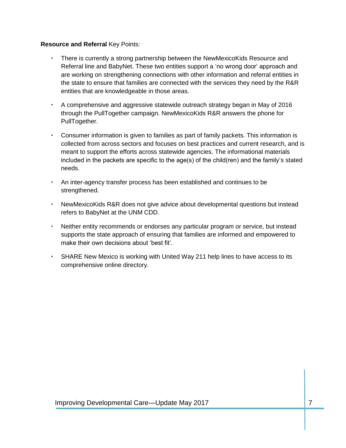#### **Resource and Referral** Key Points:

- There is currently a strong partnership between the NewMexicoKids Resource and Referral line and BabyNet. These two entities support a 'no wrong door' approach and are working on strengthening connections with other information and referral entities in the state to ensure that families are connected with the services they need by the R&R entities that are knowledgeable in those areas.
- A comprehensive and aggressive statewide outreach strategy began in May of 2016 through the PullTogether campaign. NewMexicoKids R&R answers the phone for PullTogether.
- Consumer information is given to families as part of family packets. This information is collected from across sectors and focuses on best practices and current research, and is meant to support the efforts across statewide agencies. The informational materials included in the packets are specific to the age(s) of the child(ren) and the family's stated needs.
- An inter-agency transfer process has been established and continues to be strengthened.
- NewMexicoKids R&R does not give advice about developmental questions but instead refers to BabyNet at the UNM CDD.
- Neither entity recommends or endorses any particular program or service, but instead supports the state approach of ensuring that families are informed and empowered to make their own decisions about 'best fit'.
- SHARE New Mexico is working with United Way 211 help lines to have access to its comprehensive online directory.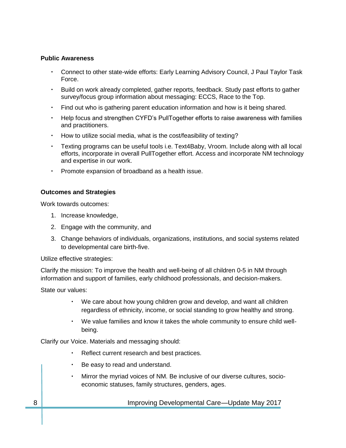#### **Public Awareness**

- Connect to other state-wide efforts: Early Learning Advisory Council, J Paul Taylor Task Force.
- Build on work already completed, gather reports, feedback. Study past efforts to gather survey/focus group information about messaging: ECCS, Race to the Top.
- Find out who is gathering parent education information and how is it being shared.
- Help focus and strengthen CYFD's PullTogether efforts to raise awareness with families and practitioners.
- How to utilize social media, what is the cost/feasibility of texting?
- Texting programs can be useful tools i.e. Text4Baby, Vroom. Include along with all local efforts, incorporate in overall PullTogether effort. Access and incorporate NM technology and expertise in our work.
- Promote expansion of broadband as a health issue.

#### **Outcomes and Strategies**

Work towards outcomes:

- 1. Increase knowledge,
- 2. Engage with the community, and
- 3. Change behaviors of individuals, organizations, institutions, and social systems related to developmental care birth-five.

Utilize effective strategies:

Clarify the mission: To improve the health and well-being of all children 0-5 in NM through information and support of families, early childhood professionals, and decision-makers.

State our values:

- We care about how young children grow and develop, and want all children regardless of ethnicity, income, or social standing to grow healthy and strong.
- We value families and know it takes the whole community to ensure child wellbeing.

Clarify our Voice. Materials and messaging should:

- Reflect current research and best practices.
- Be easy to read and understand.
- Mirror the myriad voices of NM. Be inclusive of our diverse cultures, socioeconomic statuses, family structures, genders, ages.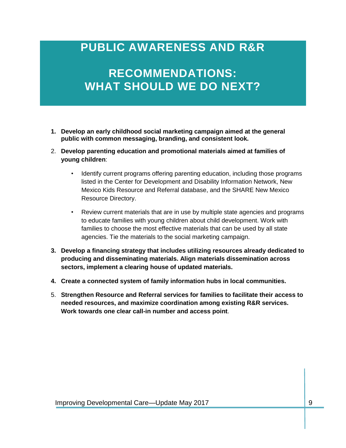### **PUBLIC AWARENESS AND R&R**

### **RECOMMENDATIONS: WHAT SHOULD WE DO NEXT?**

- **1. Develop an early childhood social marketing campaign aimed at the general public with common messaging, branding, and consistent look.**
- 2. **Develop parenting education and promotional materials aimed at families of young children**:
	- Identify current programs offering parenting education, including those programs listed in the Center for Development and Disability Information Network, New Mexico Kids Resource and Referral database, and the SHARE New Mexico Resource Directory.
	- Review current materials that are in use by multiple state agencies and programs to educate families with young children about child development. Work with families to choose the most effective materials that can be used by all state agencies. Tie the materials to the social marketing campaign.
- **3. Develop a financing strategy that includes utilizing resources already dedicated to producing and disseminating materials. Align materials dissemination across sectors, implement a clearing house of updated materials.**
- **4. Create a connected system of family information hubs in local communities.**
- 5. **Strengthen Resource and Referral services for families to facilitate their access to needed resources, and maximize coordination among existing R&R services. Work towards one clear call-in number and access point**.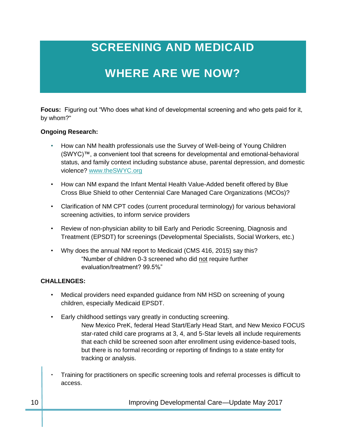# **SCREENING AND MEDICAID**

# **WHERE ARE WE NOW?**

**Focus:** Figuring out "Who does what kind of developmental screening and who gets paid for it, by whom?"

#### **Ongoing Research:**

- How can NM health professionals use the Survey of Well-being of Young Children (SWYC)™, a convenient tool that screens for developmental and emotional-behavioral status, and family context including substance abuse, parental depression, and domestic violence? [www.theSWYC.org](http://www.theswyc.org/)
- How can NM expand the Infant Mental Health Value-Added benefit offered by Blue Cross Blue Shield to other Centennial Care Managed Care Organizations (MCOs)?
- Clarification of NM CPT codes (current procedural terminology) for various behavioral screening activities, to inform service providers
- Review of non-physician ability to bill Early and Periodic Screening, Diagnosis and Treatment (EPSDT) for screenings (Developmental Specialists, Social Workers, etc.)
- Why does the annual NM report to Medicaid (CMS 416, 2015) say this? "Number of children 0-3 screened who did not require further evaluation/treatment? 99.5%"

#### **CHALLENGES:**

- Medical providers need expanded guidance from NM HSD on screening of young children, especially Medicaid EPSDT.
- Early childhood settings vary greatly in conducting screening.
	- New Mexico PreK, federal Head Start/Early Head Start, and New Mexico FOCUS star-rated child care programs at 3, 4, and 5-Star levels all include requirements that each child be screened soon after enrollment using evidence-based tools, but there is no formal recording or reporting of findings to a state entity for tracking or analysis.
- Training for practitioners on specific screening tools and referral processes is difficult to access.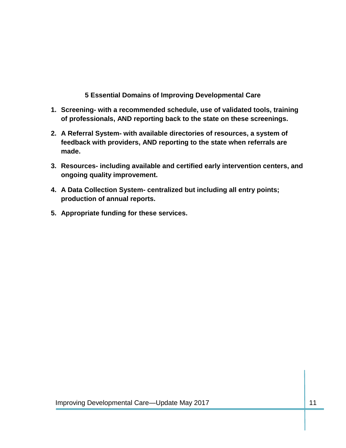**5 Essential Domains of Improving Developmental Care**

- **1. Screening- with a recommended schedule, use of validated tools, training of professionals, AND reporting back to the state on these screenings.**
- **2. A Referral System- with available directories of resources, a system of feedback with providers, AND reporting to the state when referrals are made.**
- **3. Resources- including available and certified early intervention centers, and ongoing quality improvement.**
- **4. A Data Collection System- centralized but including all entry points; production of annual reports.**
- **5. Appropriate funding for these services.**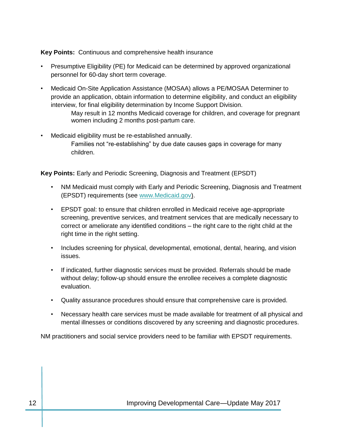#### **Key Points:** Continuous and comprehensive health insurance

- Presumptive Eligibility (PE) for Medicaid can be determined by approved organizational personnel for 60-day short term coverage.
- Medicaid On-Site Application Assistance (MOSAA) allows a PE/MOSAA Determiner to provide an application, obtain information to determine eligibility, and conduct an eligibility interview, for final eligibility determination by Income Support Division.
	- May result in 12 months Medicaid coverage for children, and coverage for pregnant women including 2 months post-partum care.
- Medicaid eligibility must be re-established annually. Families not "re-establishing" by due date causes gaps in coverage for many children.

**Key Points:** Early and Periodic Screening, Diagnosis and Treatment (EPSDT)

- NM Medicaid must comply with Early and Periodic Screening, Diagnosis and Treatment (EPSDT) requirements (see [www.Medicaid.gov\).](http://www.medicaid.gov)/)
- EPSDT goal: to ensure that children enrolled in Medicaid receive age-appropriate screening, preventive services, and treatment services that are medically necessary to correct or ameliorate any identified conditions – the right care to the right child at the right time in the right setting.
- Includes screening for physical, developmental, emotional, dental, hearing, and vision issues.
- If indicated, further diagnostic services must be provided. Referrals should be made without delay; follow-up should ensure the enrollee receives a complete diagnostic evaluation.
- Quality assurance procedures should ensure that comprehensive care is provided.
- Necessary health care services must be made available for treatment of all physical and mental illnesses or conditions discovered by any screening and diagnostic procedures.

NM practitioners and social service providers need to be familiar with EPSDT requirements.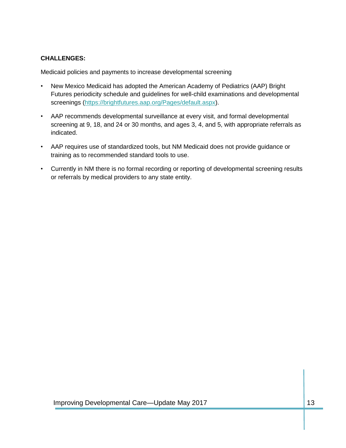#### **CHALLENGES:**

Medicaid policies and payments to increase developmental screening

- New Mexico Medicaid has adopted the American Academy of Pediatrics (AAP) Bright Futures periodicity schedule and guidelines for well-child examinations and developmental screenings [\(https://brightfutures.aap.org/Pages/default.aspx\)](https://brightfutures.aap.org/Pages/default.aspx).
- AAP recommends developmental surveillance at every visit, and formal developmental screening at 9, 18, and 24 or 30 months, and ages 3, 4, and 5, with appropriate referrals as indicated.
- AAP requires use of standardized tools, but NM Medicaid does not provide guidance or training as to recommended standard tools to use.
- Currently in NM there is no formal recording or reporting of developmental screening results or referrals by medical providers to any state entity.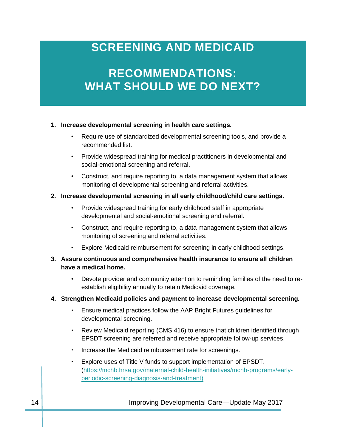### **SCREENING AND MEDICAID**

## **RECOMMENDATIONS: WHAT SHOULD WE DO NEXT?**

#### **1. Increase developmental screening in health care settings.**

- Require use of standardized developmental screening tools, and provide a recommended list.
- Provide widespread training for medical practitioners in developmental and social-emotional screening and referral.
- Construct, and require reporting to, a data management system that allows monitoring of developmental screening and referral activities.

#### **2. Increase developmental screening in all early childhood/child care settings.**

- Provide widespread training for early childhood staff in appropriate developmental and social-emotional screening and referral.
- Construct, and require reporting to, a data management system that allows monitoring of screening and referral activities.
- Explore Medicaid reimbursement for screening in early childhood settings.
- **3. Assure continuous and comprehensive health insurance to ensure all children have a medical home.**
	- Devote provider and community attention to reminding families of the need to reestablish eligibility annually to retain Medicaid coverage.

#### **4. Strengthen Medicaid policies and payment to increase developmental screening.**

- Ensure medical practices follow the AAP Bright Futures guidelines for developmental screening.
- Review Medicaid reporting (CMS 416) to ensure that children identified through EPSDT screening are referred and receive appropriate follow-up services.
- . Increase the Medicaid reimbursement rate for screenings.
- Explore uses of Title V funds to support implementation of EPSDT. [\(https://mchb.hrsa.gov/maternal-child-health-initiatives/mchb-programs/early](https://mchb.hrsa.gov/maternal-child-health-initiatives/mchb-programs/early-periodic-screening-diagnosis-and-treatment)[periodic-screening-diagnosis-and-treatment\)](https://mchb.hrsa.gov/maternal-child-health-initiatives/mchb-programs/early-periodic-screening-diagnosis-and-treatment)

14 **IMPROVING Developmental Care—Update May 2017**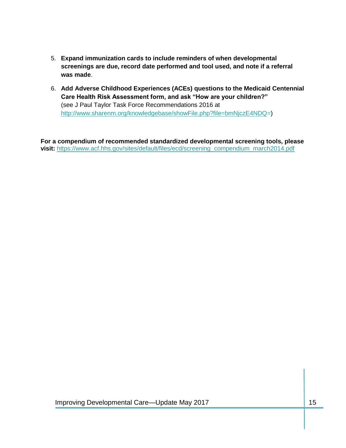- 5. **Expand immunization cards to include reminders of when developmental screenings are due, record date performed and tool used, and note if a referral was made**.
- 6. **Add Adverse Childhood Experiences (ACEs) questions to the Medicaid Centennial Care Health Risk Assessment form, and ask "How are your children?"**  (see J Paul Taylor Task Force Recommendations 2016 at [http://www.sharenm.org/knowledgebase/showFile.php?file=bmNjczE4NDQ=](http://www.sharenm.org/knowledgebase/showFile.php?file=bmNjczE4NDQ))

**For a compendium of recommended standardized developmental screening tools, please visit:** [https://www.acf.hhs.gov/sites/default/files/ecd/screening\\_compendium\\_march2014.pdf](https://www.acf.hhs.gov/sites/default/files/ecd/screening_compendium_march2014.pdf)

Improving Developmental Care—Update May 2017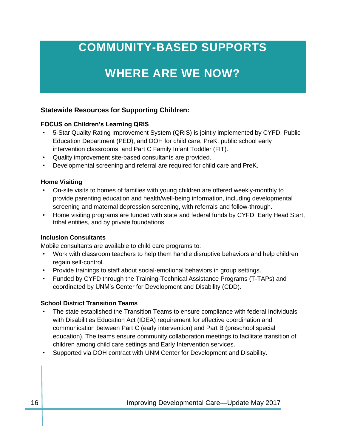## **COMMUNITY-BASED SUPPORTS**

# **WHERE ARE WE NOW?**

#### **Statewide Resources for Supporting Children:**

#### **FOCUS on Children's Learning QRIS**

- 5-Star Quality Rating Improvement System (QRIS) is jointly implemented by CYFD, Public Education Department (PED), and DOH for child care, PreK, public school early intervention classrooms, and Part C Family Infant Toddler (FIT).
- Quality improvement site-based consultants are provided.
- Developmental screening and referral are required for child care and PreK.

#### **Home Visiting**

- On-site visits to homes of families with young children are offered weekly-monthly to provide parenting education and health/well-being information, including developmental screening and maternal depression screening, with referrals and follow-through.
- Home visiting programs are funded with state and federal funds by CYFD, Early Head Start, tribal entities, and by private foundations.

#### **Inclusion Consultants**

Mobile consultants are available to child care programs to:

- Work with classroom teachers to help them handle disruptive behaviors and help children regain self-control.
- Provide trainings to staff about social-emotional behaviors in group settings.
- Funded by CYFD through the Training-Technical Assistance Programs (T-TAPs) and coordinated by UNM's Center for Development and Disability (CDD).

#### **School District Transition Teams**

- The state established the Transition Teams to ensure compliance with federal Individuals with Disabilities Education Act (IDEA) requirement for effective coordination and communication between Part C (early intervention) and Part B (preschool special education). The teams ensure community collaboration meetings to facilitate transition of children among child care settings and Early Intervention services.
- Supported via DOH contract with UNM Center for Development and Disability.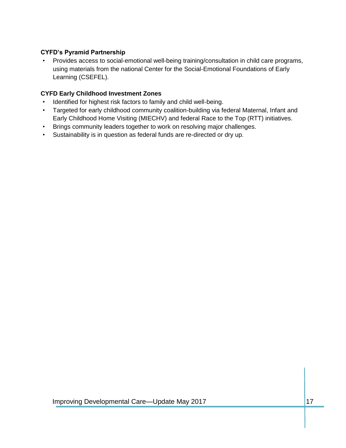#### **CYFD's Pyramid Partnership**

• Provides access to social-emotional well-being training/consultation in child care programs, using materials from the national Center for the Social-Emotional Foundations of Early Learning (CSEFEL).

#### **CYFD Early Childhood Investment Zones**

- Identified for highest risk factors to family and child well-being.
- Targeted for early childhood community coalition-building via federal Maternal, Infant and Early Childhood Home Visiting (MIECHV) and federal Race to the Top (RTT) initiatives.
- Brings community leaders together to work on resolving major challenges.
- Sustainability is in question as federal funds are re-directed or dry up.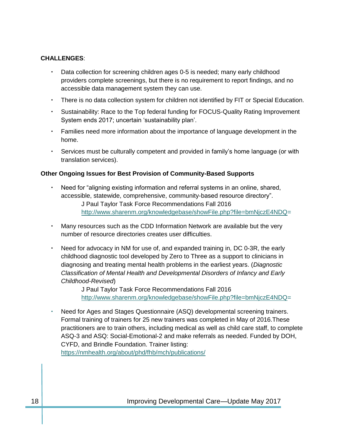#### **CHALLENGES**:

- Data collection for screening children ages 0-5 is needed; many early childhood providers complete screenings, but there is no requirement to report findings, and no accessible data management system they can use.
- There is no data collection system for children not identified by FIT or Special Education.
- Sustainability: Race to the Top federal funding for FOCUS-Quality Rating Improvement System ends 2017; uncertain 'sustainability plan'.
- Families need more information about the importance of language development in the home.
- Services must be culturally competent and provided in family's home language (or with translation services).

#### **Other Ongoing Issues for Best Provision of Community-Based Supports**

- Need for "aligning existing information and referral systems in an online, shared, accessible, statewide, comprehensive, community-based resource directory". J Paul Taylor Task Force Recommendations Fall 2016 [http://www.sharenm.org/knowledgebase/showFile.php?file=bmNjczE4NDQ=](http://www.sharenm.org/knowledgebase/showFile.php?file=bmNjczE4NDQ)
- Many resources such as the CDD Information Network are available but the very number of resource directories creates user difficulties.
- Need for advocacy in NM for use of, and expanded training in, DC 0-3R, the early childhood diagnostic tool developed by Zero to Three as a support to clinicians in diagnosing and treating mental health problems in the earliest years. (*Diagnostic Classification of Mental Health and Developmental Disorders of Infancy and Early Childhood-Revised*)

J Paul Taylor Task Force Recommendations Fall 2016 [http://www.sharenm.org/knowledgebase/showFile.php?file=bmNjczE4NDQ=](http://www.sharenm.org/knowledgebase/showFile.php?file=bmNjczE4NDQ)

 Need for Ages and Stages Questionnaire (ASQ) developmental screening trainers. Formal training of trainers for 25 new trainers was completed in May of 2016.These practitioners are to train others, including medical as well as child care staff, to complete ASQ-3 and ASQ: Social-Emotional-2 and make referrals as needed. Funded by DOH, CYFD, and Brindle Foundation. Trainer listing: <https://nmhealth.org/about/phd/fhb/mch/publications/>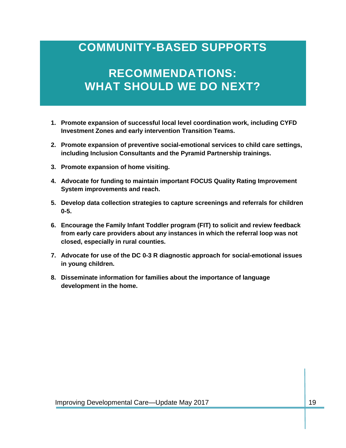### **COMMUNITY-BASED SUPPORTS**

### **RECOMMENDATIONS: WHAT SHOULD WE DO NEXT?**

- **1. Promote expansion of successful local level coordination work, including CYFD Investment Zones and early intervention Transition Teams.**
- **2. Promote expansion of preventive social-emotional services to child care settings, including Inclusion Consultants and the Pyramid Partnership trainings.**
- **3. Promote expansion of home visiting.**
- **4. Advocate for funding to maintain important FOCUS Quality Rating Improvement System improvements and reach.**
- **5. Develop data collection strategies to capture screenings and referrals for children 0-5.**
- **6. Encourage the Family Infant Toddler program (FIT) to solicit and review feedback from early care providers about any instances in which the referral loop was not closed, especially in rural counties.**
- **7. Advocate for use of the DC 0-3 R diagnostic approach for social-emotional issues in young children.**
- **8. Disseminate information for families about the importance of language development in the home.**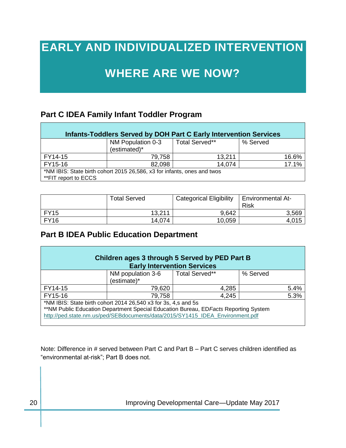### **EARLY AND INDIVIDUALIZED INTERVENTION**

### **WHERE ARE WE NOW?**

### **Part C IDEA Family Infant Toddler Program**

| Infants-Toddlers Served by DOH Part C Early Intervention Services       |                                   |                |          |  |  |  |  |
|-------------------------------------------------------------------------|-----------------------------------|----------------|----------|--|--|--|--|
|                                                                         | NM Population 0-3<br>(estimated)* | Total Served** | % Served |  |  |  |  |
|                                                                         |                                   |                |          |  |  |  |  |
| FY14-15                                                                 | 79,758                            | 13,211         | 16.6%    |  |  |  |  |
| FY15-16                                                                 | 82,098                            | 14,074         | 17.1%    |  |  |  |  |
| *NM IBIS: State birth cohort 2015 26,586, x3 for infants, ones and twos |                                   |                |          |  |  |  |  |
| **FIT report to ECCS                                                    |                                   |                |          |  |  |  |  |

|             | <b>Total Served</b> | <b>Categorical Eligibility</b> | <b>Environmental At-</b><br>Risk |  |
|-------------|---------------------|--------------------------------|----------------------------------|--|
| <b>FY15</b> | 13,211              | 9,642                          | 3,569                            |  |
| <b>FY16</b> | 14,074              | 10,059                         | 4,015                            |  |

### **Part B IDEA Public Education Department**

| Children ages 3 through 5 Served by PED Part B<br><b>Early Intervention Services</b>                                                                                                                                                     |                                  |                |          |      |  |  |  |
|------------------------------------------------------------------------------------------------------------------------------------------------------------------------------------------------------------------------------------------|----------------------------------|----------------|----------|------|--|--|--|
|                                                                                                                                                                                                                                          | NM population 3-6<br>(estimate)* | Total Served** | % Served |      |  |  |  |
| FY14-15                                                                                                                                                                                                                                  | 79,620                           | 4,285          |          | 5.4% |  |  |  |
| FY15-16                                                                                                                                                                                                                                  | 79,758                           | 4,245          |          | 5.3% |  |  |  |
| *NM IBIS: State birth cohort 2014 26,540 x3 for 3s, 4,s and 5s<br>** NM Public Education Department Special Education Bureau, ED Facts Reporting System<br>http://ped.state.nm.us/ped/SEBdocuments/data/2015/SY1415_IDEA_Environment.pdf |                                  |                |          |      |  |  |  |

Note: Difference in # served between Part C and Part B – Part C serves children identified as "environmental at-risk"; Part B does not.

20 | **Improving Developmental Care—Update May 2017**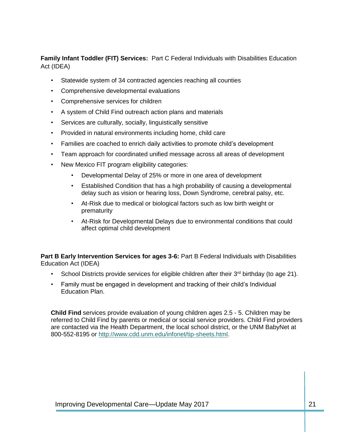**Family Infant Toddler (FIT) Services:** Part C Federal Individuals with Disabilities Education Act (IDEA)

- Statewide system of 34 contracted agencies reaching all counties
- Comprehensive developmental evaluations
- Comprehensive services for children
- A system of Child Find outreach action plans and materials
- Services are culturally, socially, linguistically sensitive
- Provided in natural environments including home, child care
- Families are coached to enrich daily activities to promote child's development
- Team approach for coordinated unified message across all areas of development
- New Mexico FIT program eligibility categories:
	- Developmental Delay of 25% or more in one area of development
	- Established Condition that has a high probability of causing a developmental delay such as vision or hearing loss, Down Syndrome, cerebral palsy, etc.
	- At-Risk due to medical or biological factors such as low birth weight or prematurity
	- At-Risk for Developmental Delays due to environmental conditions that could affect optimal child development

**Part B Early Intervention Services for ages 3-6:** Part B Federal Individuals with Disabilities Education Act (IDEA)

- School Districts provide services for eligible children after their  $3^{rd}$  birthday (to age 21).
- Family must be engaged in development and tracking of their child's Individual Education Plan.

**Child Find** services provide evaluation of young children ages 2.5 - 5. Children may be referred to Child Find by parents or medical or social service providers. Child Find providers are contacted via the Health Department, the local school district, or the UNM BabyNet at 800-552-8195 or [http://www.cdd.unm.edu/infonet/tip-sheets.html.](http://www.cdd.unm.edu/infonet/tip-sheets.html)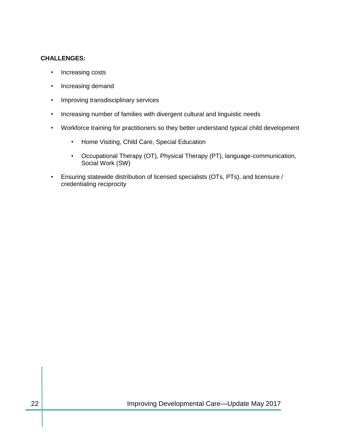#### **CHALLENGES:**

- Increasing costs
- Increasing demand
- Improving transdisciplinary services
- Increasing number of families with divergent cultural and linguistic needs
- Workforce training for practitioners so they better understand typical child development
	- Home Visiting, Child Care, Special Education
	- Occupational Therapy (OT), Physical Therapy (PT), language-communication, Social Work (SW)
- Ensuring statewide distribution of licensed specialists (OTs, PTs), and licensure / credentialing reciprocity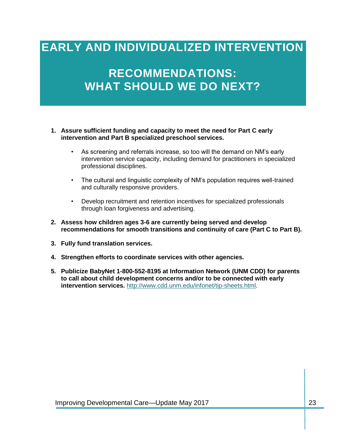### **EARLY AND INDIVIDUALIZED INTERVENTION**

### **RECOMMENDATIONS: WHAT SHOULD WE DO NEXT?**

- **1. Assure sufficient funding and capacity to meet the need for Part C early intervention and Part B specialized preschool services.**
	- As screening and referrals increase, so too will the demand on NM's early intervention service capacity, including demand for practitioners in specialized professional disciplines.
	- The cultural and linguistic complexity of NM's population requires well-trained and culturally responsive providers.
	- Develop recruitment and retention incentives for specialized professionals through loan forgiveness and advertising.
- **2. Assess how children ages 3-6 are currently being served and develop recommendations for smooth transitions and continuity of care (Part C to Part B).**
- **3. Fully fund translation services.**
- **4. Strengthen efforts to coordinate services with other agencies.**
- **5. Publicize BabyNet 1-800-552-8195 at Information Network (UNM CDD) for parents to call about child development concerns and/or to be connected with early intervention services.** [http://www.cdd.unm.edu/infonet/tip-sheets.html.](http://www.cdd.unm.edu/infonet/tip-sheets.html)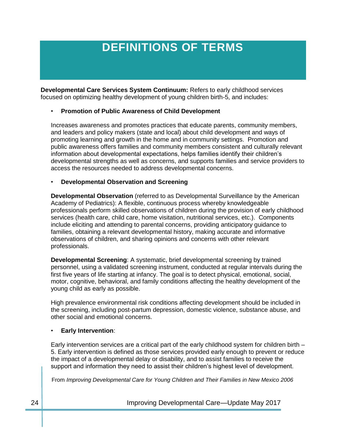## **DEFINITIONS OF TERMS**

**Developmental Care Services System Continuum:** Refers to early childhood services focused on optimizing healthy development of young children birth-5, and includes:

#### • **Promotion of Public Awareness of Child Development**

Increases awareness and promotes practices that educate parents, community members, and leaders and policy makers (state and local) about child development and ways of promoting learning and growth in the home and in community settings. Promotion and public awareness offers families and community members consistent and culturally relevant information about developmental expectations, helps families identify their children's developmental strengths as well as concerns, and supports families and service providers to access the resources needed to address developmental concerns.

#### • **Developmental Observation and Screening**

**Developmental Observation** (referred to as Developmental Surveillance by the American Academy of Pediatrics): A flexible, continuous process whereby knowledgeable professionals perform skilled observations of children during the provision of early childhood services (health care, child care, home visitation, nutritional services, etc.). Components include eliciting and attending to parental concerns, providing anticipatory guidance to families, obtaining a relevant developmental history, making accurate and informative observations of children, and sharing opinions and concerns with other relevant professionals.

**Developmental Screening**: A systematic, brief developmental screening by trained personnel, using a validated screening instrument, conducted at regular intervals during the first five years of life starting at infancy. The goal is to detect physical, emotional, social, motor, cognitive, behavioral, and family conditions affecting the healthy development of the young child as early as possible.

High prevalence environmental risk conditions affecting development should be included in the screening, including post-partum depression, domestic violence, substance abuse, and other social and emotional concerns.

#### • **Early Intervention**:

Early intervention services are a critical part of the early childhood system for children birth – 5. Early intervention is defined as those services provided early enough to prevent or reduce the impact of a developmental delay or disability, and to assist families to receive the support and information they need to assist their children's highest level of development.

From *Improving Developmental Care for Young Children and Their Families in New Mexico 2006*

24 Improving Developmental Care—Update May 2017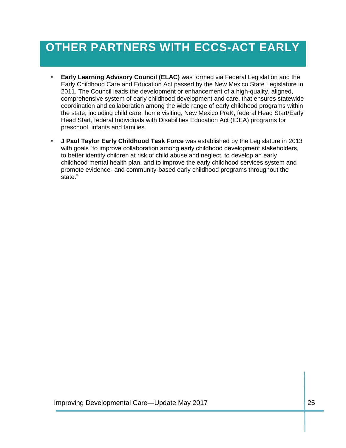## **OTHER PARTNERS WITH ECCS-ACT EARLY**

- **Early Learning Advisory Council (ELAC)** was formed via Federal Legislation and the Early Childhood Care and Education Act passed by the New Mexico State Legislature in 2011. The Council leads the development or enhancement of a high-quality, aligned, comprehensive system of early childhood development and care, that ensures statewide coordination and collaboration among the wide range of early childhood programs within the state, including child care, home visiting, New Mexico PreK, federal Head Start/Early Head Start, federal Individuals with Disabilities Education Act (IDEA) programs for preschool, infants and families.
- **J Paul Taylor Early Childhood Task Force** was established by the Legislature in 2013 with goals "to improve collaboration among early childhood development stakeholders, to better identify children at risk of child abuse and neglect, to develop an early childhood mental health plan, and to improve the early childhood services system and promote evidence- and community-based early childhood programs throughout the state."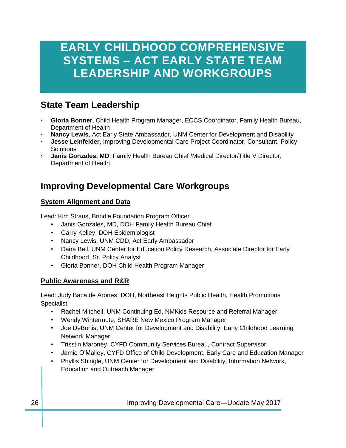### **EARLY CHILDHOOD COMPREHENSIVE SYSTEMS – ACT EARLY STATE TEAM LEADERSHIP AND WORKGROUPS**

### **State Team Leadership**

- **Gloria Bonner**, Child Health Program Manager, ECCS Coordinator, Family Health Bureau, Department of Health
- **Nancy Lewis**, Act Early State Ambassador, UNM Center for Development and Disability
- **Jesse Leinfelder**, Improving Developmental Care Project Coordinator, Consultant, Policy **Solutions**
- **Janis Gonzales, MD**, Family Health Bureau Chief /Medical Director/Title V Director, Department of Health

### **Improving Developmental Care Workgroups**

#### **System Alignment and Data**

Lead: Kim Straus, Brindle Foundation Program Officer

- Janis Gonzales, MD, DOH Family Health Bureau Chief
- Garry Kelley, DOH Epidemiologist
- Nancy Lewis, UNM CDD, Act Early Ambassador
- Dana Bell, UNM Center for Education Policy Research, Associate Director for Early Childhood, Sr. Policy Analyst
- Gloria Bonner, DOH Child Health Program Manager

#### **Public Awareness and R&R**

Lead: Judy Baca de Arones, DOH, Northeast Heights Public Health, Health Promotions **Specialist** 

- Rachel Mitchell, UNM Continuing Ed, NMKids Resource and Referral Manager
- Wendy Wintermute, SHARE New Mexico Program Manager
- Joe DeBonis, UNM Center for Development and Disability, Early Childhood Learning Network Manager
- Trisstin Maroney, CYFD Community Services Bureau, Contract Supervisor
- Jamie O'Malley, CYFD Office of Child Development, Early Care and Education Manager
- Phyllis Shingle, UNM Center for Development and Disability, Information Network, Education and Outreach Manager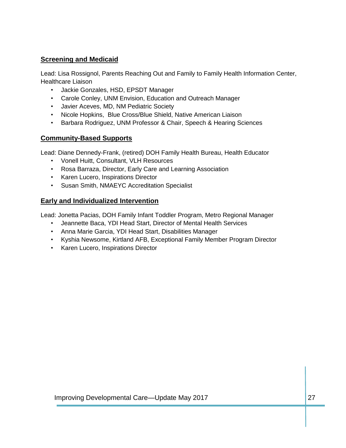#### **Screening and Medicaid**

Lead: Lisa Rossignol, Parents Reaching Out and Family to Family Health Information Center, Healthcare Liaison

- Jackie Gonzales, HSD, EPSDT Manager
- Carole Conley, UNM Envision, Education and Outreach Manager
- Javier Aceves, MD, NM Pediatric Society
- Nicole Hopkins, Blue Cross/Blue Shield, Native American Liaison
- Barbara Rodriguez, UNM Professor & Chair, Speech & Hearing Sciences

#### **Community-Based Supports**

Lead: Diane Dennedy-Frank, (retired) DOH Family Health Bureau, Health Educator

- Vonell Huitt, Consultant, VLH Resources
- Rosa Barraza, Director, Early Care and Learning Association
- Karen Lucero, Inspirations Director
- Susan Smith, NMAEYC Accreditation Specialist

#### **Early and Individualized Intervention**

Lead: Jonetta Pacias, DOH Family Infant Toddler Program, Metro Regional Manager

- Jeannette Baca, YDI Head Start, Director of Mental Health Services
- Anna Marie Garcia, YDI Head Start, Disabilities Manager
- Kyshia Newsome, Kirtland AFB, Exceptional Family Member Program Director
- Karen Lucero, Inspirations Director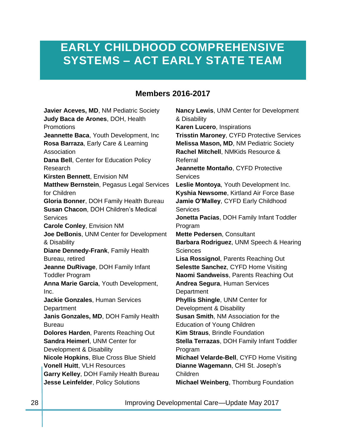### **EARLY CHILDHOOD COMPREHENSIVE SYSTEMS – ACT EARLY STATE TEAM**

#### **Members 2016-2017**

**Javier Aceves, MD**, NM Pediatric Society **Judy Baca de Arones**, DOH, Health **Promotions Jeannette Baca**, Youth Development, Inc **Rosa Barraza**, Early Care & Learning Association **Dana Bell**, Center for Education Policy Research **Kirsten Bennett**, Envision NM **Matthew Bernstein**, Pegasus Legal Services for Children **Gloria Bonner**, DOH Family Health Bureau **Susan Chacon**, DOH Children's Medical **Services Carole Conley**, Envision NM **Joe DeBonis**, UNM Center for Development & Disability **Diane Dennedy-Frank**, Family Health Bureau, retired **Jeanne DuRivage**, DOH Family Infant Toddler Program **Anna Marie Garcia**, Youth Development, Inc. **Jackie Gonzales**, Human Services **Department Janis Gonzales, MD**, DOH Family Health Bureau **Dolores Harden**, Parents Reaching Out **Sandra Heimerl**, UNM Center for Development & Disability **Nicole Hopkins**, Blue Cross Blue Shield **Vonell Huitt**, VLH Resources **Garry Kelley**, DOH Family Health Bureau **Jesse Leinfelder**, Policy Solutions

**Nancy Lewis**, UNM Center for Development & Disability **Karen Lucero**, Inspirations **Trisstin Maroney**, CYFD Protective Services **Melissa Mason, MD**, NM Pediatric Society **Rachel Mitchell**, NMKids Resource & Referral **Jeannette Montaño**, CYFD Protective **Services Leslie Montoya**, Youth Development Inc. **Kyshia Newsome**, Kirtland Air Force Base **Jamie O'Malley**, CYFD Early Childhood **Services Jonetta Pacias**, DOH Family Infant Toddler Program **Mette Pedersen**, Consultant **Barbara Rodriguez**, UNM Speech & Hearing Sciences **Lisa Rossignol**, Parents Reaching Out **Selestte Sanchez**, CYFD Home Visiting **Naomi Sandweiss**, Parents Reaching Out **Andrea Segura**, Human Services **Department Phyllis Shingle**, UNM Center for Development & Disability **Susan Smith**, NM Association for the Education of Young Children **Kim Straus**, Brindle Foundation **Stella Terrazas**, DOH Family Infant Toddler Program **Michael Velarde-Bell**, CYFD Home Visiting **Dianne Wagemann**, CHI St. Joseph's Children **Michael Weinberg**, Thornburg Foundation

28 Improving Developmental Care—Update May 2017